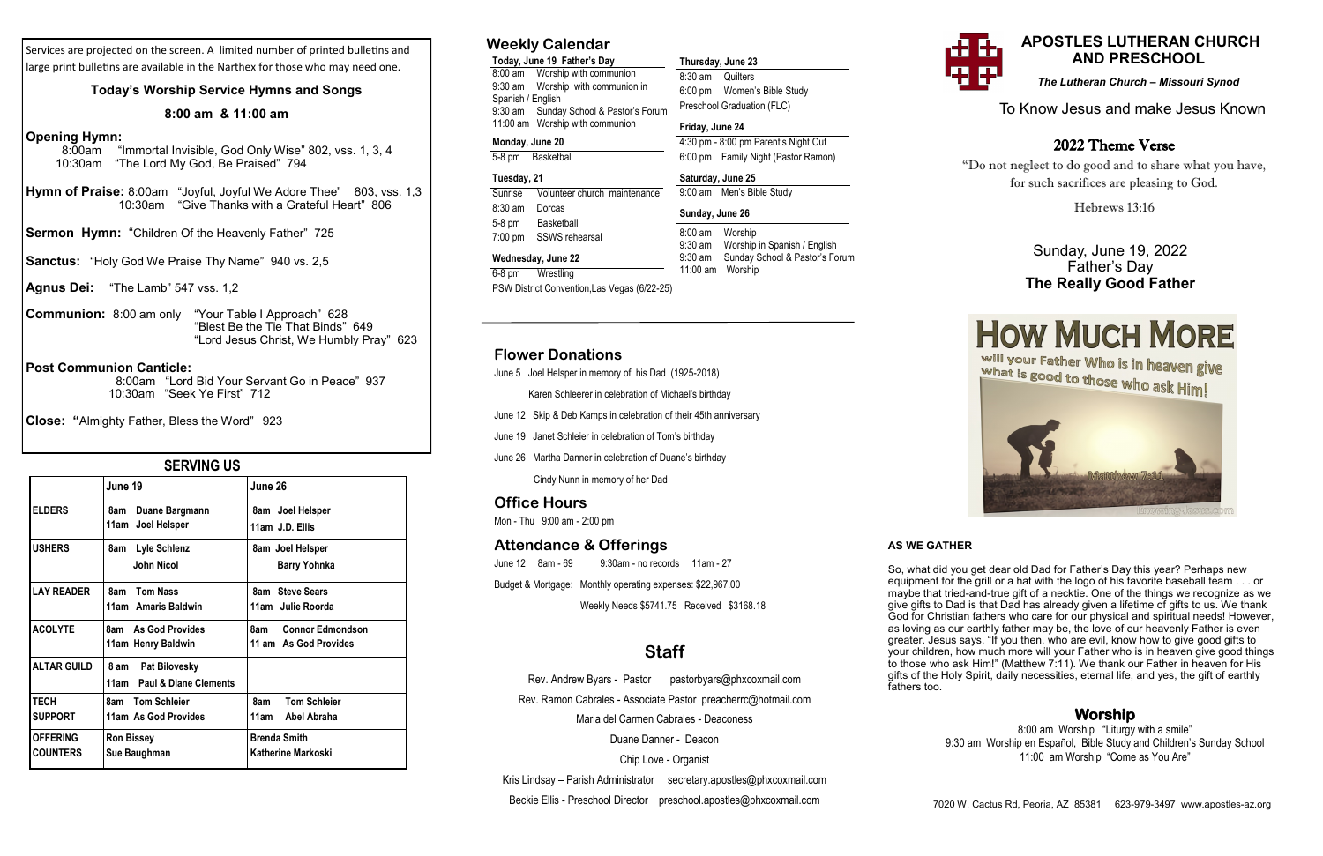## **SERVING US**

## To Know Jesus and make Jesus Known

## **APOSTLES LUTHERAN CHURCH AND PRESCHOOL**

*The Lutheran Church – Missouri Synod*

## **Weekly Calendar**

**Today, June 19 Father's Day**  8:00 am Worship with communion 9:30 am Worship with communion in Spanish / English 9:30 am Sunday School & Pastor's Forum 11:00 am Worship with communion

## **Monday, June 20**

5-8 pm Basketball

## **Tuesday, 21**

Sunrise Volunteer church maintenance 8:30 am Dorcas 5-8 pm Basketball 7:00 pm SSWS rehearsal

#### **Wednesday, June 22**

6-8 pm Wrestling

PSW District Convention,Las Vegas (6/22-25)

**Thursday, June 23**  8:30 am Quilters

6:00 pm Women's Bible Study Preschool Graduation (FLC)

**Friday, June 24** 

4:30 pm - 8:00 pm Parent's Night Out 6:00 pm Family Night (Pastor Ramon)

**Saturday, June 25** 

9:00 am Men's Bible Study

**Sunday, June 26**  8:00 am Worship

9:30 am Worship in Spanish / English 9:30 am Sunday School & Pastor's Forum

11:00 am Worship

### **Flower Donations**

June 5 Joel Helsper in memory of his Dad (1925-2018)

Karen Schleerer in celebration of Michael's birthday

- June 12 Skip & Deb Kamps in celebration of their 45th anniversary
- June 19 Janet Schleier in celebration of Tom's birthday
- June 26 Martha Danner in celebration of Duane's birthday

Cindy Nunn in memory of her Dad

#### **Office Hours**

Mon - Thu 9:00 am - 2:00 pm

#### **Attendance & Offerings**

June 12 8am - 69 9:30am - no records 11am - 27 Budget & Mortgage: Monthly operating expenses: \$22,967.00

Weekly Needs \$5741.75 Received \$3168.18

## **Staff**

Rev. Andrew Byars - Pastor pastorbyars@phxcoxmail.com Rev. Ramon Cabrales - Associate Pastor preacherrc@hotmail.com Maria del Carmen Cabrales - Deaconess Duane Danner - Deacon

Chip Love - Organist

Kris Lindsay – Parish Administrator secretary.apostles@phxcoxmail.com Beckie Ellis - Preschool Director preschool.apostles@phxcoxmail.com

Services are projected on the screen. A limited number of printed bulletins and large print bulletins are available in the Narthex for those who may need one.

#### **Today's Worship Service Hymns and Songs**

#### **8:00 am & 11:00 am**

#### **Opening Hymn:**

- 8:00am "Immortal Invisible, God Only Wise" 802, vss. 1, 3, 4 10:30am "The Lord My God, Be Praised" 794
- **Hymn of Praise:** 8:00am "Joyful, Joyful We Adore Thee" 803, vss. 1,3 10:30am "Give Thanks with a Grateful Heart" 806
- **Sermon Hymn:** "Children Of the Heavenly Father" 725
- **Sanctus:** "Holy God We Praise Thy Name" 940 vs. 2,5
- **Agnus Dei:** "The Lamb" 547 vss. 1,2
- **Communion:** 8:00 am only "Your Table I Approach" 628 "Blest Be the Tie That Binds" 649 "Lord Jesus Christ, We Humbly Pray" 623

#### **Post Communion Canticle:**

 8:00am "Lord Bid Your Servant Go in Peace" 937 10:30am "Seek Ye First" 712

**Close: "**Almighty Father, Bless the Word" 923

|                    | June 19                    | June 26                        |  |  |
|--------------------|----------------------------|--------------------------------|--|--|
| <b>ELDERS</b>      | Duane Bargmann<br>8am      | 8am Joel Helsper               |  |  |
|                    | 11am Joel Helsper          | 11am J.D. Ellis                |  |  |
| <b>USHERS</b>      | Lyle Schlenz<br>8am        | 8am Joel Helsper               |  |  |
|                    | John Nicol                 | <b>Barry Yohnka</b>            |  |  |
| <b>LAY READER</b>  | <b>Tom Nass</b><br>8am     | 8am Steve Sears                |  |  |
|                    | 11am Amaris Baldwin        | 11am Julie Roorda              |  |  |
| <b>ACOLYTE</b>     | 8am As God Provides        | 8am<br><b>Connor Edmondson</b> |  |  |
|                    | 11am Henry Baldwin         | 11 am As God Provides          |  |  |
| <b>ALTAR GUILD</b> | 8 am Pat Bilovesky         |                                |  |  |
|                    | 11am Paul & Diane Clements |                                |  |  |
| <b>TECH</b>        | 8am Tom Schleier           | 8am<br><b>Tom Schleier</b>     |  |  |
| <b>SUPPORT</b>     | 11am As God Provides       | 11am<br>Abel Abraha            |  |  |
| <b>OFFERING</b>    | <b>Ron Bissey</b>          | <b>Brenda Smith</b>            |  |  |
| <b>COUNTERS</b>    | Sue Baughman               | Katherine Markoski             |  |  |

## Sunday, June 19, 2022 Father's Day **The Really Good Father**



## 2022 Theme Verse

"Do not neglect to do good and to share what you have, for such sacrifices are pleasing to God.

Hebrews 13:16

## **Worship**

8:00 am Worship "Liturgy with a smile" 9:30 am Worship en Español, Bible Study and Children's Sunday School 11:00 am Worship "Come as You Are"

#### **AS WE GATHER**

So, what did you get dear old Dad for Father's Day this year? Perhaps new equipment for the grill or a hat with the logo of his favorite baseball team . . . or maybe that tried-and-true gift of a necktie. One of the things we recognize as we give gifts to Dad is that Dad has already given a lifetime of gifts to us. We thank God for Christian fathers who care for our physical and spiritual needs! However, as loving as our earthly father may be, the love of our heavenly Father is even greater. Jesus says, "If you then, who are evil, know how to give good gifts to your children, how much more will your Father who is in heaven give good things to those who ask Him!" (Matthew 7:11). We thank our Father in heaven for His gifts of the Holy Spirit, daily necessities, eternal life, and yes, the gift of earthly fathers too.